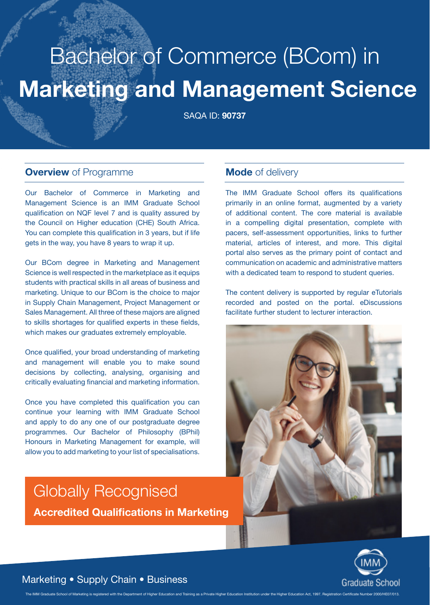# **Marketing and Management Science** Bachelor of Commerce (BCom) in

SAQA ID: **90737**

#### **Overview** of Programme

Our Bachelor of Commerce in Marketing and Management Science is an IMM Graduate School qualification on NQF level 7 and is quality assured by the Council on Higher education (CHE) South Africa. You can complete this qualification in 3 years, but if life gets in the way, you have 8 years to wrap it up.

Our BCom degree in Marketing and Management Science is well respected in the marketplace as it equips students with practical skills in all areas of business and marketing. Unique to our BCom is the choice to major in Supply Chain Management, Project Management or Sales Management. All three of these majors are aligned to skills shortages for qualified experts in these fields, which makes our graduates extremely employable.

Once qualified, your broad understanding of marketing and management will enable you to make sound decisions by collecting, analysing, organising and critically evaluating financial and marketing information.

Once you have completed this qualification you can continue your learning with IMM Graduate School and apply to do any one of our postgraduate degree programmes. Our Bachelor of Philosophy (BPhil) Honours in Marketing Management for example, will allow you to add marketing to your list of specialisations.

## Globally Recognised **Accredited Qualifications in Marketing**

#### **Mode** of delivery

The IMM Graduate School offers its qualifications primarily in an online format, augmented by a variety of additional content. The core material is available in a compelling digital presentation, complete with pacers, self-assessment opportunities, links to further material, articles of interest, and more. This digital portal also serves as the primary point of contact and communication on academic and administrative matters with a dedicated team to respond to student queries.

The content delivery is supported by regular eTutorials recorded and posted on the portal. eDiscussions facilitate further student to lecturer interaction.





#### Marketing • Supply Chain • Business

The IMM Graduate School of Marketing is registered with the Department of Higher Education and Training as a Private Higher Education Institution under the Higher Education Act. 1997. Registration Certificate Number 2000/H